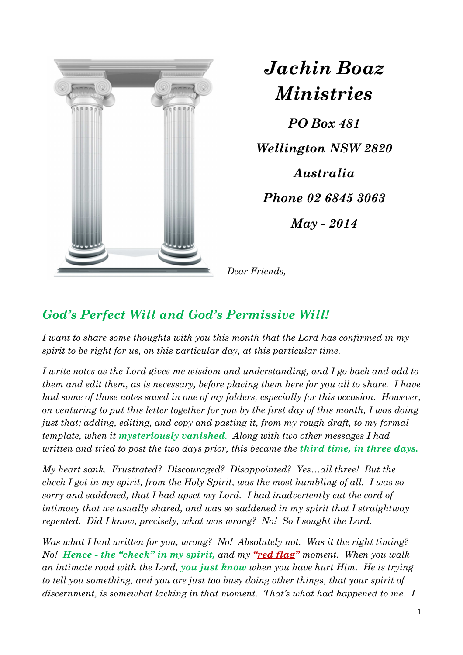

*Jachin Boaz Ministries*

*PO Box 481 Wellington NSW 2820 Australia Phone 02 6845 3063 May - 2014* 

*Dear Friends,* 

## *God's Perfect Will and God's Permissive Will!*

*I want to share some thoughts with you this month that the Lord has confirmed in my spirit to be right for us, on this particular day, at this particular time.* 

*I write notes as the Lord gives me wisdom and understanding, and I go back and add to them and edit them, as is necessary, before placing them here for you all to share. I have had some of those notes saved in one of my folders, especially for this occasion. However, on venturing to put this letter together for you by the first day of this month, I was doing just that; adding, editing, and copy and pasting it, from my rough draft, to my formal template, when it mysteriously vanished. Along with two other messages I had written and tried to post the two days prior, this became the third time, in three days.*

*My heart sank. Frustrated? Discouraged? Disappointed? Yes…all three! But the check I got in my spirit, from the Holy Spirit, was the most humbling of all. I was so sorry and saddened, that I had upset my Lord. I had inadvertently cut the cord of intimacy that we usually shared, and was so saddened in my spirit that I straightway repented. Did I know, precisely, what was wrong? No! So I sought the Lord.* 

*Was what I had written for you, wrong? No! Absolutely not. Was it the right timing? No! Hence - the "check" in my spirit, and my "red flag" moment. When you walk an intimate road with the Lord, you just know when you have hurt Him. He is trying to tell you something, and you are just too busy doing other things, that your spirit of discernment, is somewhat lacking in that moment. That's what had happened to me. I*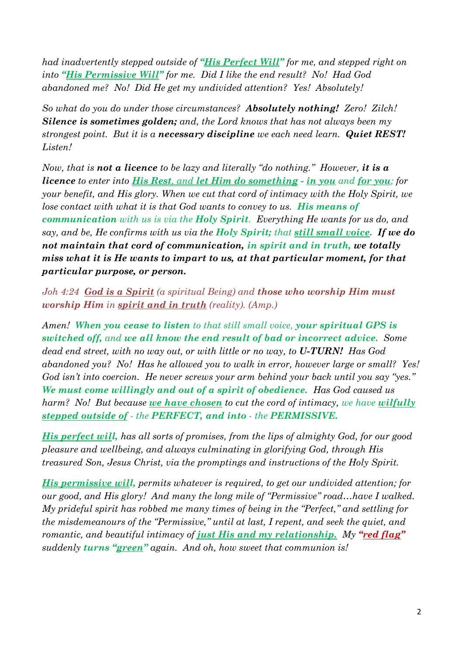*had inadvertently stepped outside of "His Perfect Will" for me, and stepped right on into "His Permissive Will" for me. Did I like the end result? No! Had God abandoned me? No! Did He get my undivided attention? Yes! Absolutely!* 

*So what do you do under those circumstances? Absolutely nothing! Zero! Zilch! Silence is sometimes golden; and, the Lord knows that has not always been my strongest point. But it is a necessary discipline we each need learn. Quiet REST! Listen!* 

*Now, that is not a licence to be lazy and literally "do nothing." However, it is a licence to enter into His Rest, and let Him do something - in you and for you; for your benefit, and His glory. When we cut that cord of intimacy with the Holy Spirit, we lose contact with what it is that God wants to convey to us. His means of communication with us is via the Holy Spirit. Everything He wants for us do, and say, and be, He confirms with us via the Holy Spirit; that still small voice. If we do not maintain that cord of communication, in spirit and in truth, we totally miss what it is He wants to impart to us, at that particular moment, for that particular purpose, or person.* 

*Joh 4:24 God is a Spirit (a spiritual Being) and those who worship Him must worship Him in spirit and in truth (reality). (Amp.)* 

*Amen! When you cease to listen to that still small voice, your spiritual GPS is switched off, and we all know the end result of bad or incorrect advice. Some dead end street, with no way out, or with little or no way, to U-TURN! Has God abandoned you? No! Has he allowed you to walk in error, however large or small? Yes! God isn't into coercion. He never screws your arm behind your back until you say "yes." We must come willingly and out of a spirit of obedience. Has God caused us harm? No! But because we have chosen to cut the cord of intimacy, we have wilfully stepped outside of - the PERFECT, and into - the PERMISSIVE.* 

*His perfect will, has all sorts of promises, from the lips of almighty God, for our good pleasure and wellbeing, and always culminating in glorifying God, through His treasured Son, Jesus Christ, via the promptings and instructions of the Holy Spirit.* 

*His permissive will, permits whatever is required, to get our undivided attention; for our good, and His glory! And many the long mile of "Permissive" road…have I walked. My prideful spirit has robbed me many times of being in the "Perfect," and settling for the misdemeanours of the "Permissive," until at last, I repent, and seek the quiet, and romantic, and beautiful intimacy of just His and my relationship. My "red flag" suddenly turns "green" again. And oh, how sweet that communion is!*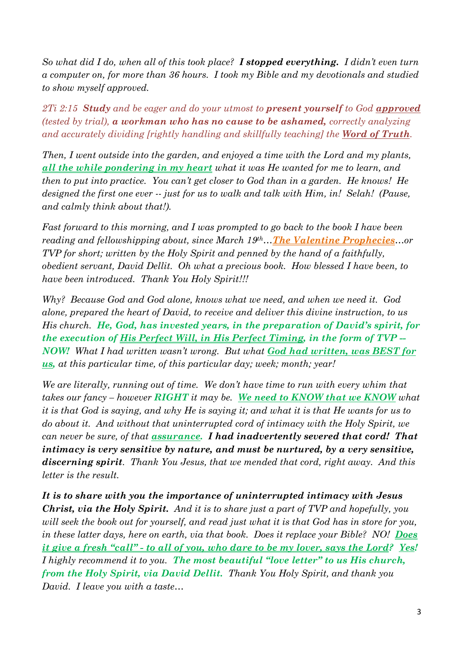*So what did I do, when all of this took place? I stopped everything. I didn't even turn a computer on, for more than 36 hours. I took my Bible and my devotionals and studied to show myself approved.* 

*2Ti 2:15 Study and be eager and do your utmost to present yourself to God approved (tested by trial), a workman who has no cause to be ashamed, correctly analyzing and accurately dividing [rightly handling and skillfully teaching] the Word of Truth.* 

*Then, I went outside into the garden, and enjoyed a time with the Lord and my plants, all the while pondering in my heart what it was He wanted for me to learn, and then to put into practice. You can't get closer to God than in a garden. He knows! He designed the first one ever -- just for us to walk and talk with Him, in! Selah! (Pause, and calmly think about that!).* 

*Fast forward to this morning, and I was prompted to go back to the book I have been reading and fellowshipping about, since March 19<sup>th</sup>.* The Valentine Prophecies...or *TVP for short; written by the Holy Spirit and penned by the hand of a faithfully, obedient servant, David Dellit. Oh what a precious book. How blessed I have been, to have been introduced. Thank You Holy Spirit!!!* 

*Why? Because God and God alone, knows what we need, and when we need it. God alone, prepared the heart of David, to receive and deliver this divine instruction, to us His church. He, God, has invested years, in the preparation of David's spirit, for the execution of His Perfect Will, in His Perfect Timing, in the form of TVP -- NOW! What I had written wasn't wrong. But what God had written, was BEST for us, at this particular time, of this particular day; week; month; year!* 

*We are literally, running out of time. We don't have time to run with every whim that takes our fancy – however RIGHT it may be. We need to KNOW that we KNOW what it is that God is saying, and why He is saying it; and what it is that He wants for us to do about it. And without that uninterrupted cord of intimacy with the Holy Spirit, we can never be sure, of that assurance. I had inadvertently severed that cord! That intimacy is very sensitive by nature, and must be nurtured, by a very sensitive, discerning spirit. Thank You Jesus, that we mended that cord, right away. And this letter is the result.* 

*It is to share with you the importance of uninterrupted intimacy with Jesus Christ, via the Holy Spirit. And it is to share just a part of TVP and hopefully, you will seek the book out for yourself, and read just what it is that God has in store for you, in these latter days, here on earth, via that book. Does it replace your Bible? NO!* Does *it give a fresh "call" - to all of you, who dare to be my lover, says the Lord? Yes! I highly recommend it to you. The most beautiful "love letter" to us His church, from the Holy Spirit, via David Dellit. Thank You Holy Spirit, and thank you David. I leave you with a taste…*